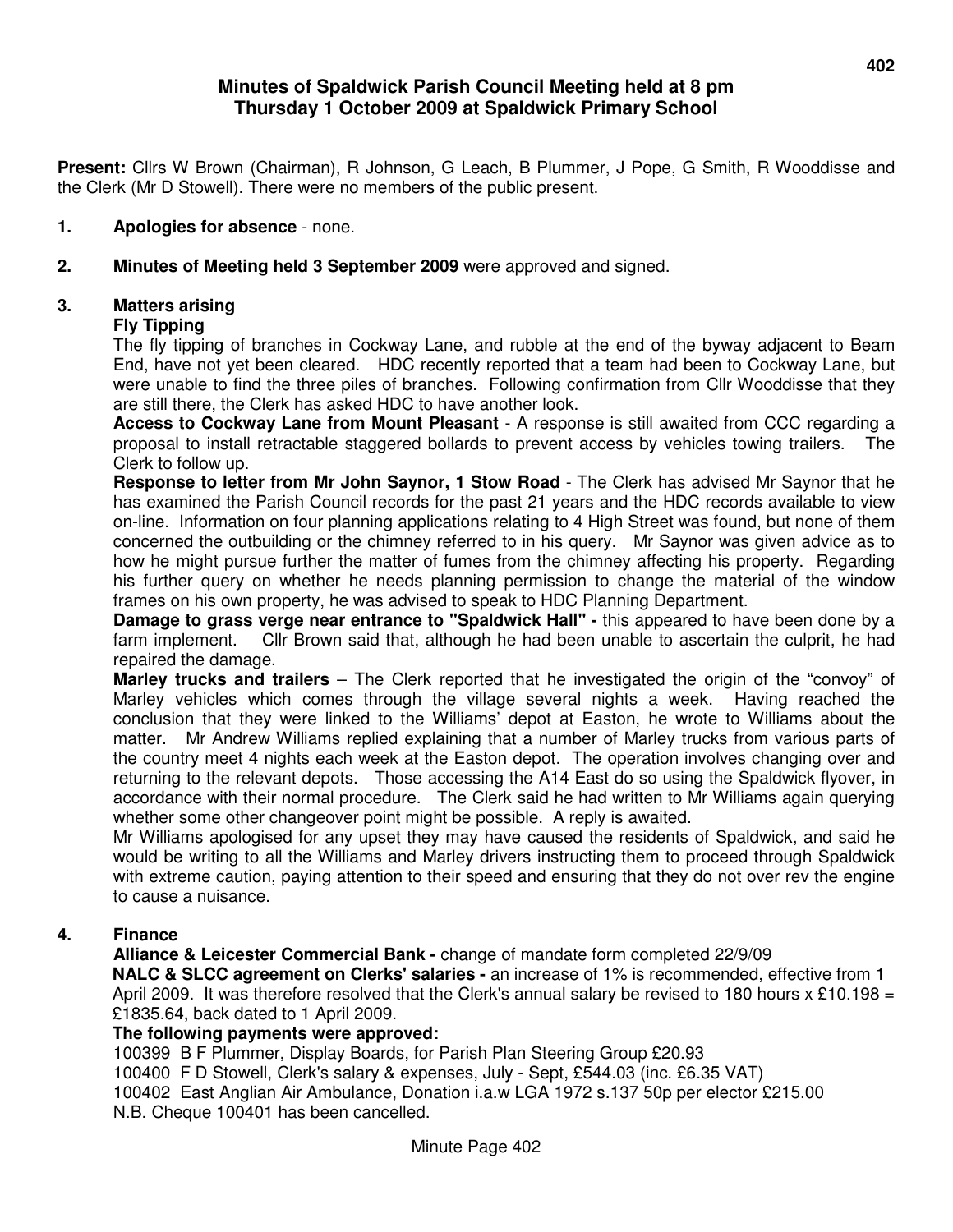# **Minutes of Spaldwick Parish Council Meeting held at 8 pm Thursday 1 October 2009 at Spaldwick Primary School**

**Present:** Cllrs W Brown (Chairman), R Johnson, G Leach, B Plummer, J Pope, G Smith, R Wooddisse and the Clerk (Mr D Stowell). There were no members of the public present.

# **1. Apologies for absence** - none.

**2. Minutes of Meeting held 3 September 2009** were approved and signed.

### **3. Matters arising**

#### **Fly Tipping**

The fly tipping of branches in Cockway Lane, and rubble at the end of the byway adjacent to Beam End, have not yet been cleared. HDC recently reported that a team had been to Cockway Lane, but were unable to find the three piles of branches. Following confirmation from Cllr Wooddisse that they are still there, the Clerk has asked HDC to have another look.

**Access to Cockway Lane from Mount Pleasant** - A response is still awaited from CCC regarding a proposal to install retractable staggered bollards to prevent access by vehicles towing trailers. The Clerk to follow up.

**Response to letter from Mr John Saynor, 1 Stow Road** - The Clerk has advised Mr Saynor that he has examined the Parish Council records for the past 21 years and the HDC records available to view on-line. Information on four planning applications relating to 4 High Street was found, but none of them concerned the outbuilding or the chimney referred to in his query. Mr Saynor was given advice as to how he might pursue further the matter of fumes from the chimney affecting his property. Regarding his further query on whether he needs planning permission to change the material of the window frames on his own property, he was advised to speak to HDC Planning Department.

**Damage to grass verge near entrance to "Spaldwick Hall" - this appeared to have been done by a** farm implement. Cllr Brown said that, although he had been unable to ascertain the culprit, he had repaired the damage.

 **Marley trucks and trailers** – The Clerk reported that he investigated the origin of the "convoy" of Marley vehicles which comes through the village several nights a week. Having reached the conclusion that they were linked to the Williams' depot at Easton, he wrote to Williams about the matter. Mr Andrew Williams replied explaining that a number of Marley trucks from various parts of the country meet 4 nights each week at the Easton depot. The operation involves changing over and returning to the relevant depots. Those accessing the A14 East do so using the Spaldwick flyover, in accordance with their normal procedure. The Clerk said he had written to Mr Williams again querying whether some other changeover point might be possible. A reply is awaited.

Mr Williams apologised for any upset they may have caused the residents of Spaldwick, and said he would be writing to all the Williams and Marley drivers instructing them to proceed through Spaldwick with extreme caution, paying attention to their speed and ensuring that they do not over rev the engine to cause a nuisance.

# **4. Finance**

**Alliance & Leicester Commercial Bank -** change of mandate form completed 22/9/09 **NALC & SLCC agreement on Clerks' salaries -** an increase of 1% is recommended, effective from 1 April 2009. It was therefore resolved that the Clerk's annual salary be revised to 180 hours  $x \text{ £10.198} =$ £1835.64, back dated to 1 April 2009.

#### **The following payments were approved:**

100399 B F Plummer, Display Boards, for Parish Plan Steering Group £20.93 100400 F D Stowell, Clerk's salary & expenses, July - Sept, £544.03 (inc. £6.35 VAT) 100402 East Anglian Air Ambulance, Donation i.a.w LGA 1972 s.137 50p per elector £215.00 N.B. Cheque 100401 has been cancelled.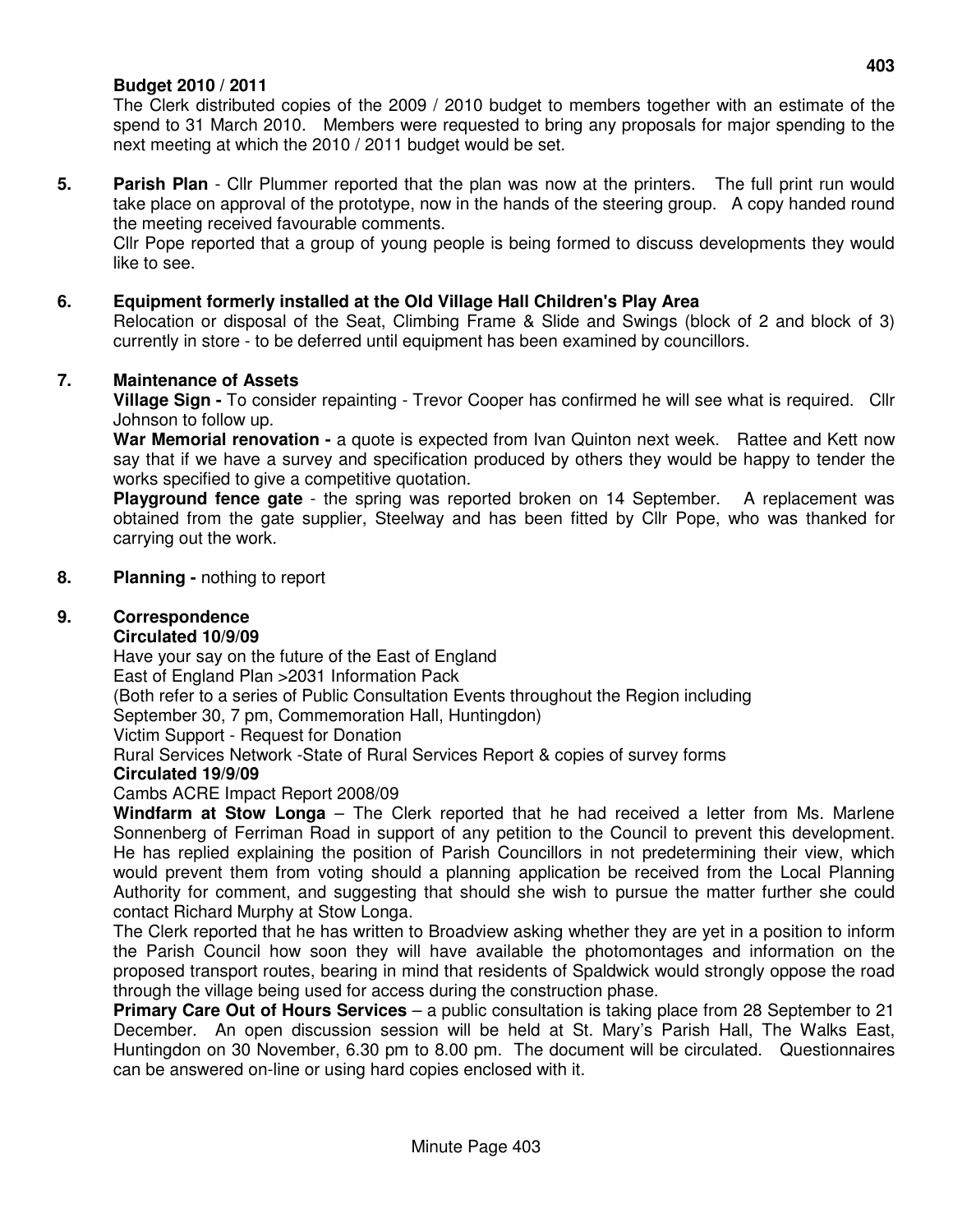# **Budget 2010 / 2011**

The Clerk distributed copies of the 2009 / 2010 budget to members together with an estimate of the spend to 31 March 2010. Members were requested to bring any proposals for major spending to the next meeting at which the 2010 / 2011 budget would be set.

**5. Parish Plan** - Cllr Plummer reported that the plan was now at the printers. The full print run would take place on approval of the prototype, now in the hands of the steering group. A copy handed round the meeting received favourable comments.

Cllr Pope reported that a group of young people is being formed to discuss developments they would like to see.

### **6. Equipment formerly installed at the Old Village Hall Children's Play Area**

Relocation or disposal of the Seat, Climbing Frame & Slide and Swings (block of 2 and block of 3) currently in store - to be deferred until equipment has been examined by councillors.

#### **7. Maintenance of Assets**

**Village Sign -** To consider repainting - Trevor Cooper has confirmed he will see what is required. Cllr Johnson to follow up.

**War Memorial renovation -** a quote is expected from Ivan Quinton next week. Rattee and Kett now say that if we have a survey and specification produced by others they would be happy to tender the works specified to give a competitive quotation.

**Playground fence gate** - the spring was reported broken on 14 September. A replacement was obtained from the gate supplier, Steelway and has been fitted by Cllr Pope, who was thanked for carrying out the work.

#### **8. Planning -** nothing to report

# **9. Correspondence**

# **Circulated 10/9/09**

Have your say on the future of the East of England East of England Plan >2031 Information Pack (Both refer to a series of Public Consultation Events throughout the Region including September 30, 7 pm, Commemoration Hall, Huntingdon) Victim Support - Request for Donation Rural Services Network -State of Rural Services Report & copies of survey forms **Circulated 19/9/09** 

# Cambs ACRE Impact Report 2008/09

**Windfarm at Stow Longa** – The Clerk reported that he had received a letter from Ms. Marlene Sonnenberg of Ferriman Road in support of any petition to the Council to prevent this development. He has replied explaining the position of Parish Councillors in not predetermining their view, which would prevent them from voting should a planning application be received from the Local Planning Authority for comment, and suggesting that should she wish to pursue the matter further she could contact Richard Murphy at Stow Longa.

The Clerk reported that he has written to Broadview asking whether they are yet in a position to inform the Parish Council how soon they will have available the photomontages and information on the proposed transport routes, bearing in mind that residents of Spaldwick would strongly oppose the road through the village being used for access during the construction phase.

**Primary Care Out of Hours Services** – a public consultation is taking place from 28 September to 21 December. An open discussion session will be held at St. Mary's Parish Hall, The Walks East, Huntingdon on 30 November, 6.30 pm to 8.00 pm. The document will be circulated. Questionnaires can be answered on-line or using hard copies enclosed with it.